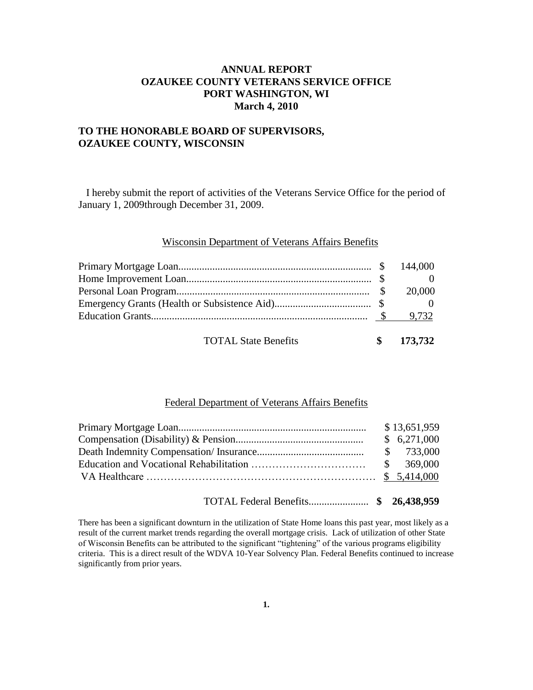# **ANNUAL REPORT OZAUKEE COUNTY VETERANS SERVICE OFFICE PORT WASHINGTON, WI March 4, 2010**

## **TO THE HONORABLE BOARD OF SUPERVISORS, OZAUKEE COUNTY, WISCONSIN**

 I hereby submit the report of activities of the Veterans Service Office for the period of January 1, 2009through December 31, 2009.

#### Wisconsin Department of Veterans Affairs Benefits

| <b>TOTAL State Benefits</b> | $\frac{173,732}{2}$ |
|-----------------------------|---------------------|

### Federal Department of Veterans Affairs Benefits

|  | \$13,651,959 |
|--|--------------|
|  | \$6,271,000  |
|  | \$ 733,000   |
|  |              |
|  |              |

TOTAL Federal Benefits....................... **\$ 26,438,959**

There has been a significant downturn in the utilization of State Home loans this past year, most likely as a result of the current market trends regarding the overall mortgage crisis. Lack of utilization of other State of Wisconsin Benefits can be attributed to the significant "tightening" of the various programs eligibility criteria. This is a direct result of the WDVA 10-Year Solvency Plan. Federal Benefits continued to increase significantly from prior years.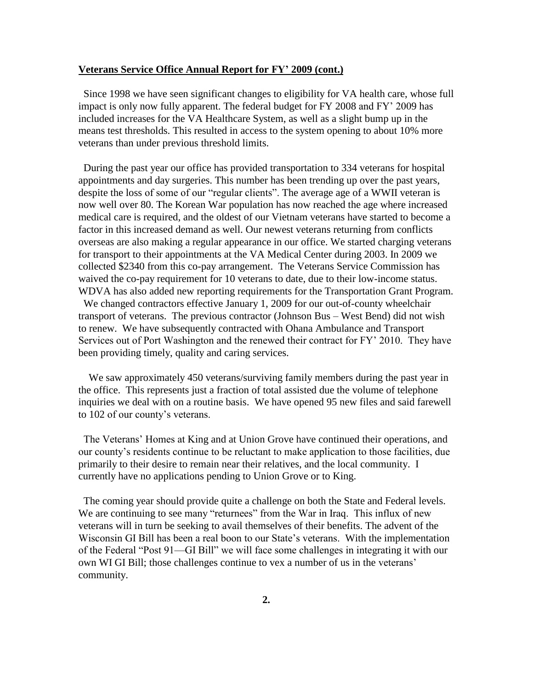## **Veterans Service Office Annual Report for FY' 2009 (cont.)**

 Since 1998 we have seen significant changes to eligibility for VA health care, whose full impact is only now fully apparent. The federal budget for FY 2008 and FY' 2009 has included increases for the VA Healthcare System, as well as a slight bump up in the means test thresholds. This resulted in access to the system opening to about 10% more veterans than under previous threshold limits.

 During the past year our office has provided transportation to 334 veterans for hospital appointments and day surgeries. This number has been trending up over the past years, despite the loss of some of our "regular clients". The average age of a WWII veteran is now well over 80. The Korean War population has now reached the age where increased medical care is required, and the oldest of our Vietnam veterans have started to become a factor in this increased demand as well. Our newest veterans returning from conflicts overseas are also making a regular appearance in our office. We started charging veterans for transport to their appointments at the VA Medical Center during 2003. In 2009 we collected \$2340 from this co-pay arrangement. The Veterans Service Commission has waived the co-pay requirement for 10 veterans to date, due to their low-income status. WDVA has also added new reporting requirements for the Transportation Grant Program. We changed contractors effective January 1, 2009 for our out-of-county wheelchair transport of veterans. The previous contractor (Johnson Bus – West Bend) did not wish to renew. We have subsequently contracted with Ohana Ambulance and Transport Services out of Port Washington and the renewed their contract for FY' 2010. They have been providing timely, quality and caring services.

 We saw approximately 450 veterans/surviving family members during the past year in the office. This represents just a fraction of total assisted due the volume of telephone inquiries we deal with on a routine basis. We have opened 95 new files and said farewell to 102 of our county's veterans.

 The Veterans' Homes at King and at Union Grove have continued their operations, and our county's residents continue to be reluctant to make application to those facilities, due primarily to their desire to remain near their relatives, and the local community. I currently have no applications pending to Union Grove or to King.

 The coming year should provide quite a challenge on both the State and Federal levels. We are continuing to see many "returnees" from the War in Iraq. This influx of new veterans will in turn be seeking to avail themselves of their benefits. The advent of the Wisconsin GI Bill has been a real boon to our State's veterans. With the implementation of the Federal "Post 91—GI Bill" we will face some challenges in integrating it with our own WI GI Bill; those challenges continue to vex a number of us in the veterans' community.